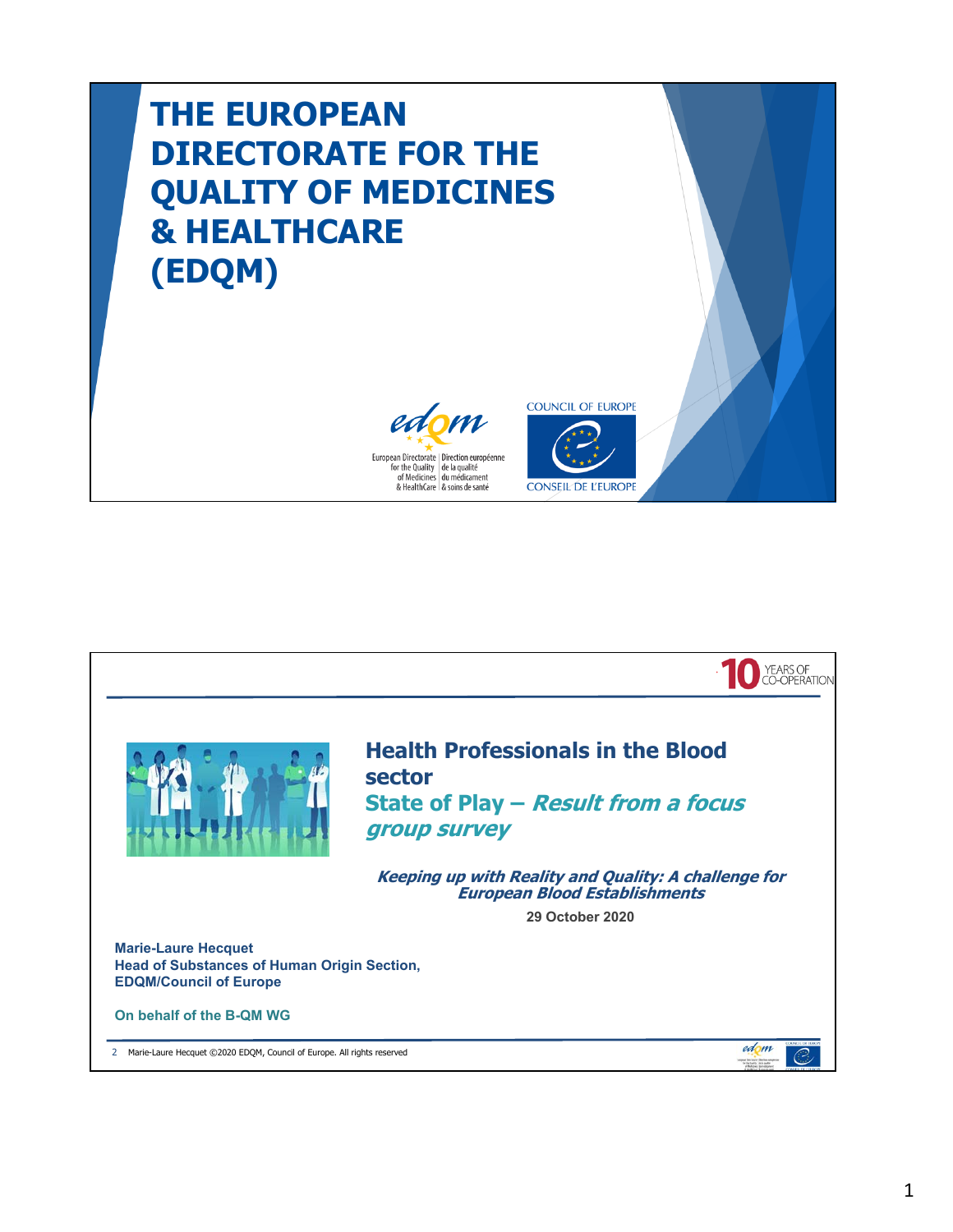## **THE EUROPEAN DIRECTORATE FOR THE QUALITY OF MEDICINES & HEALTHCARE (EDQM)**





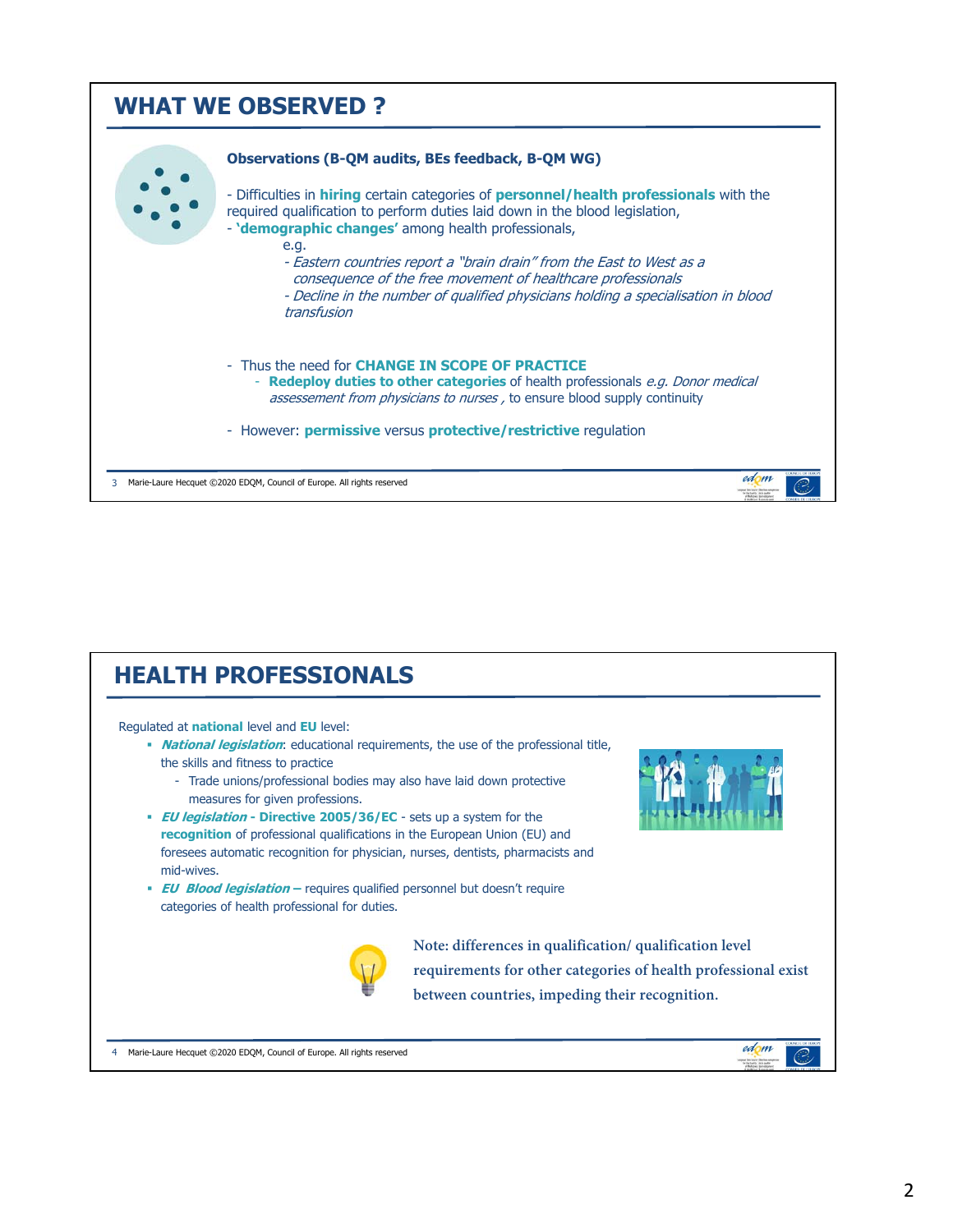

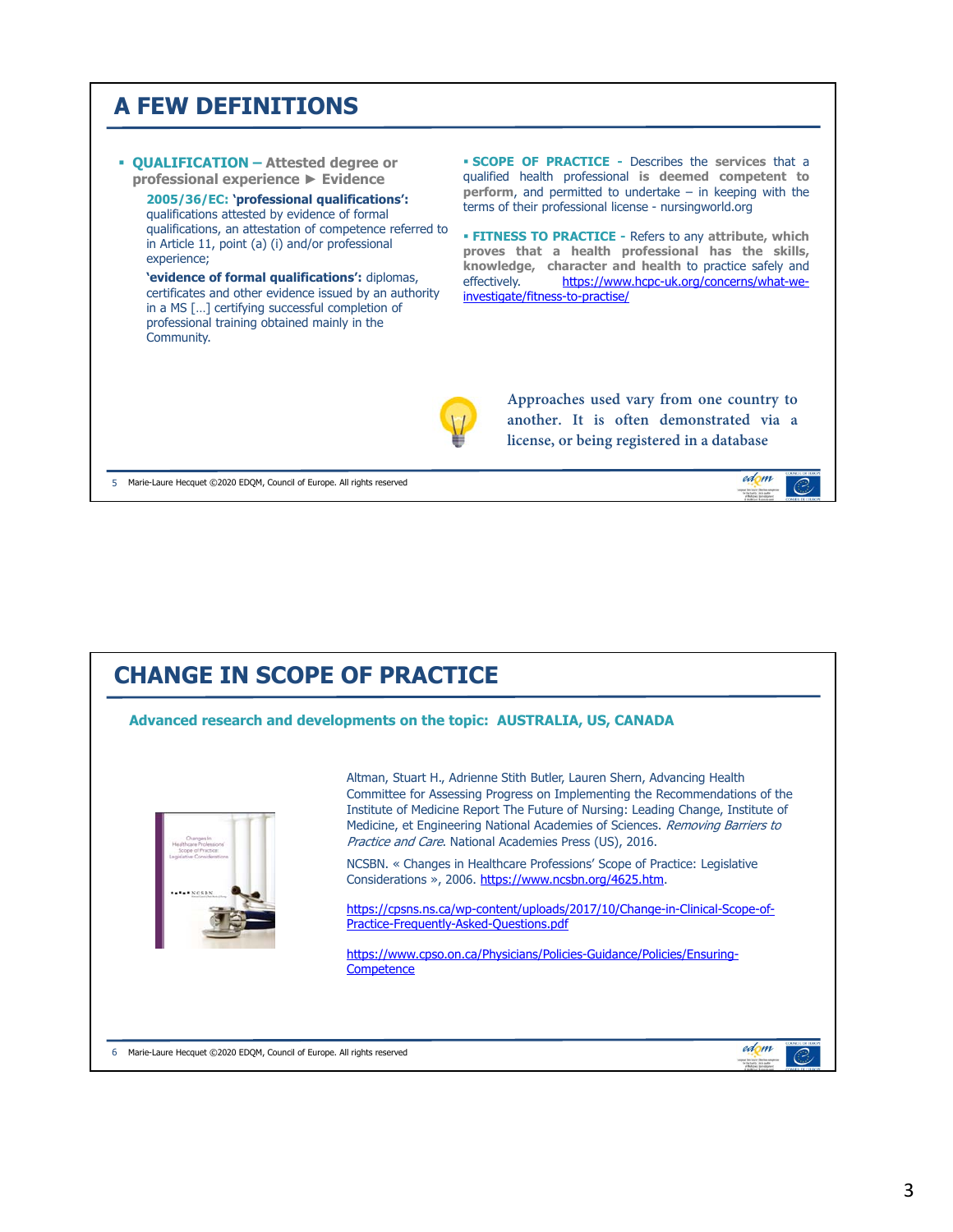## **A FEW DEFINITIONS**



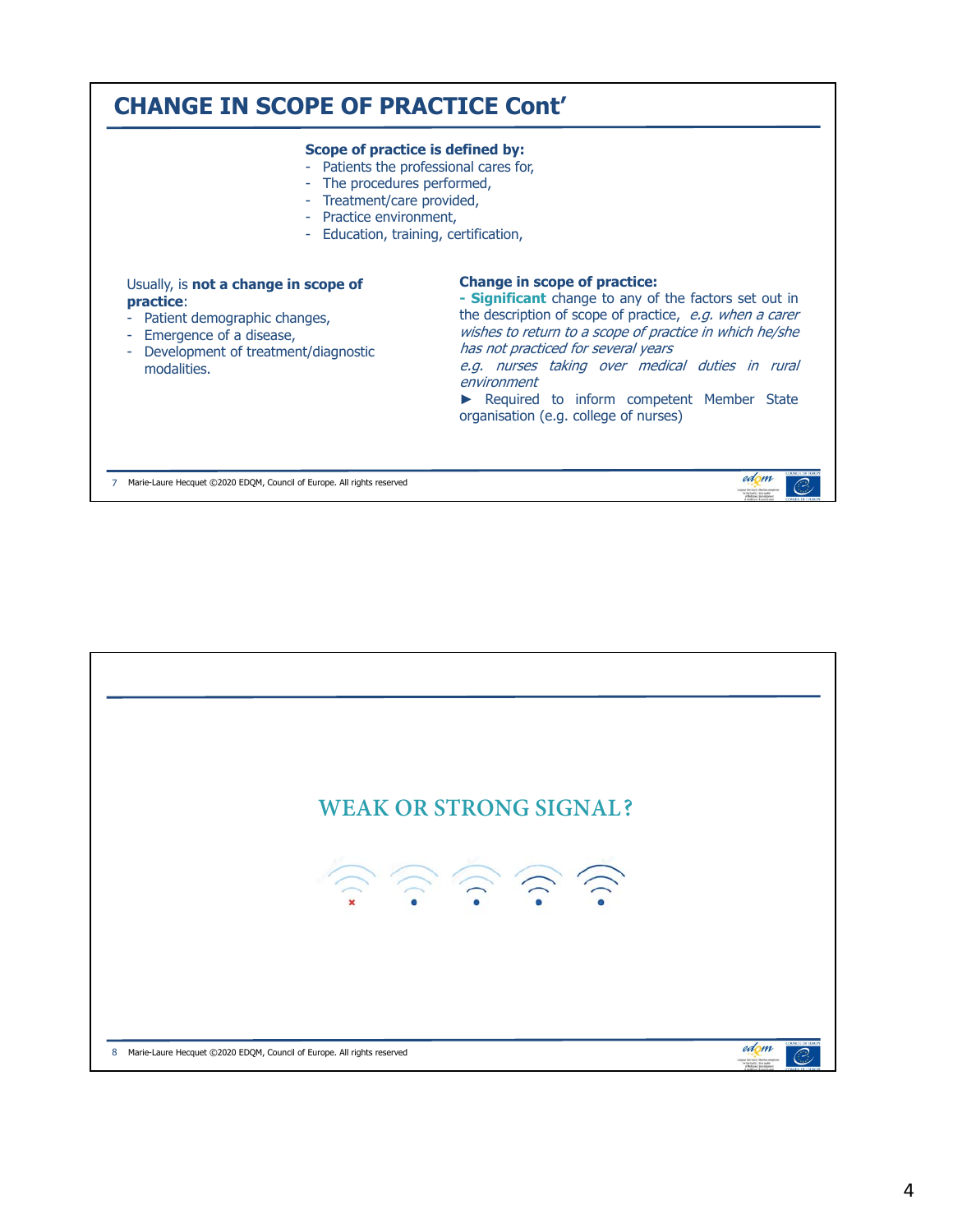

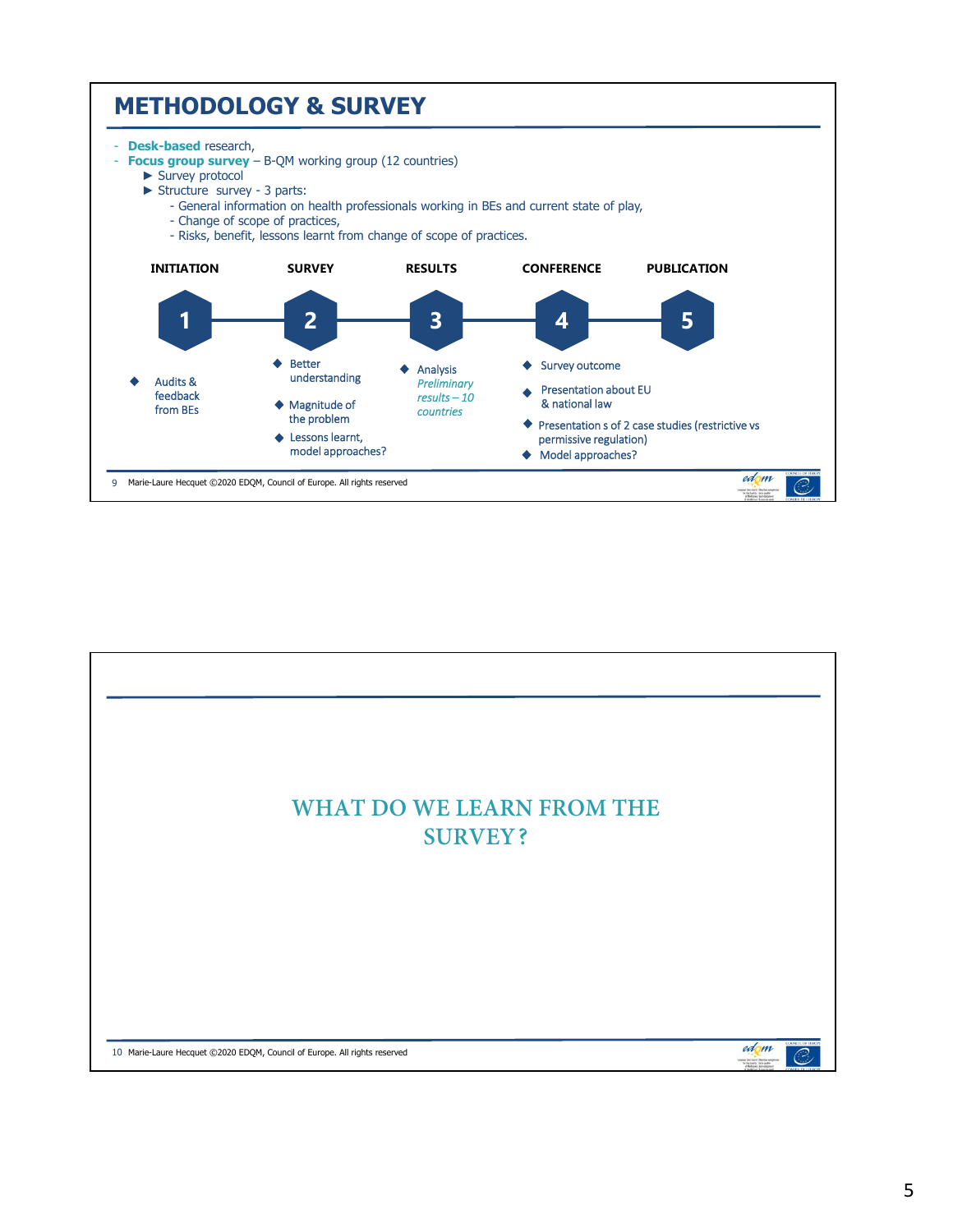

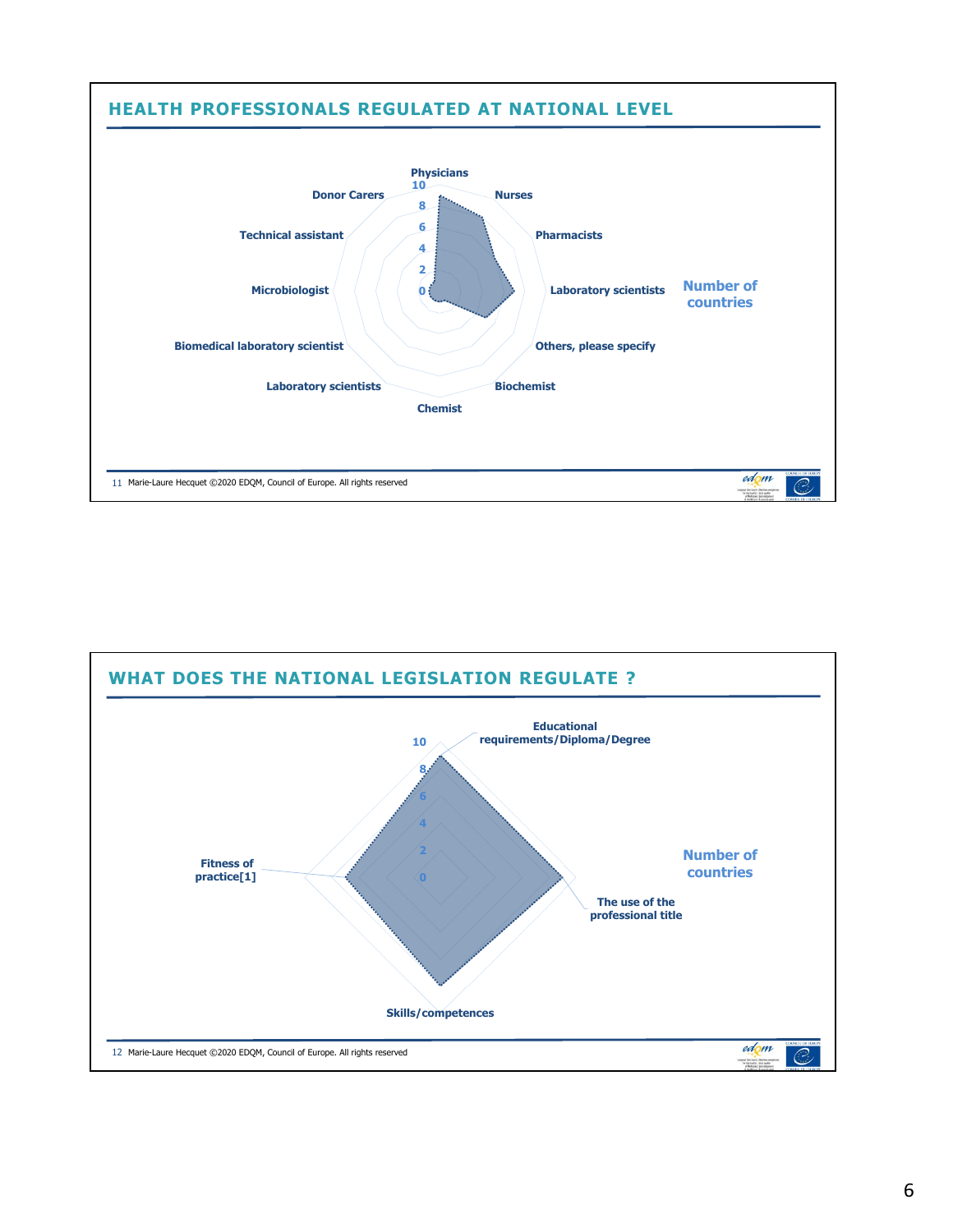

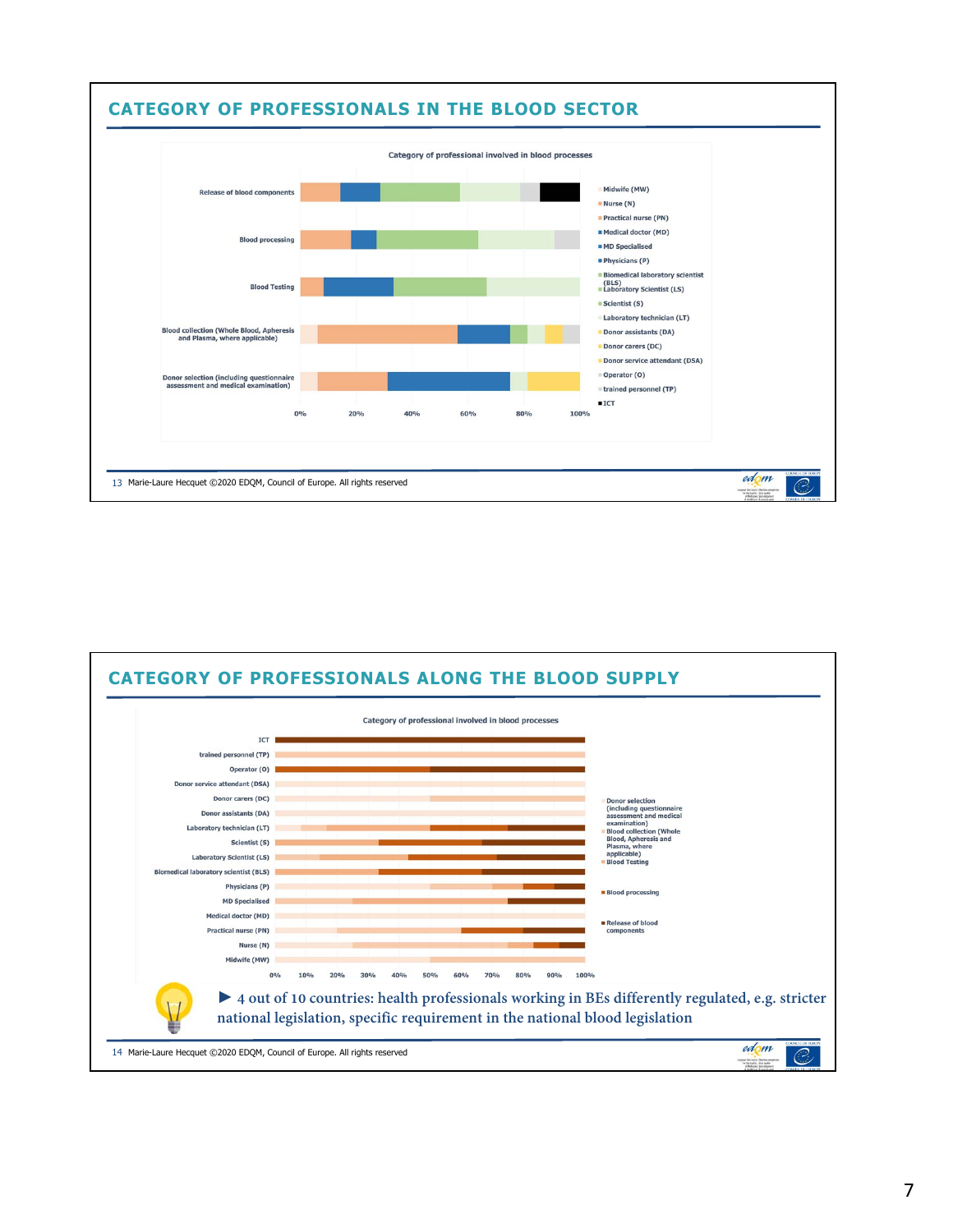

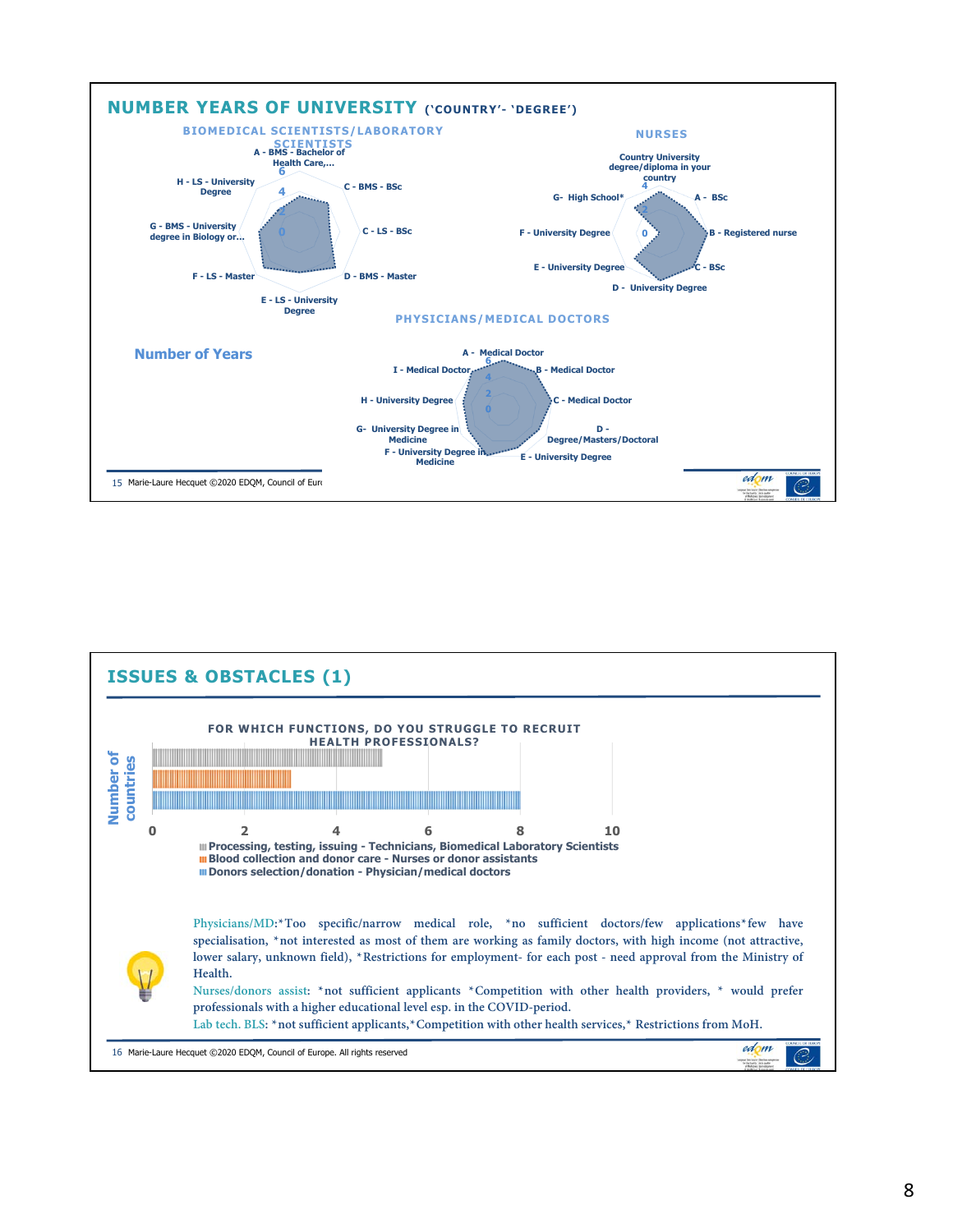

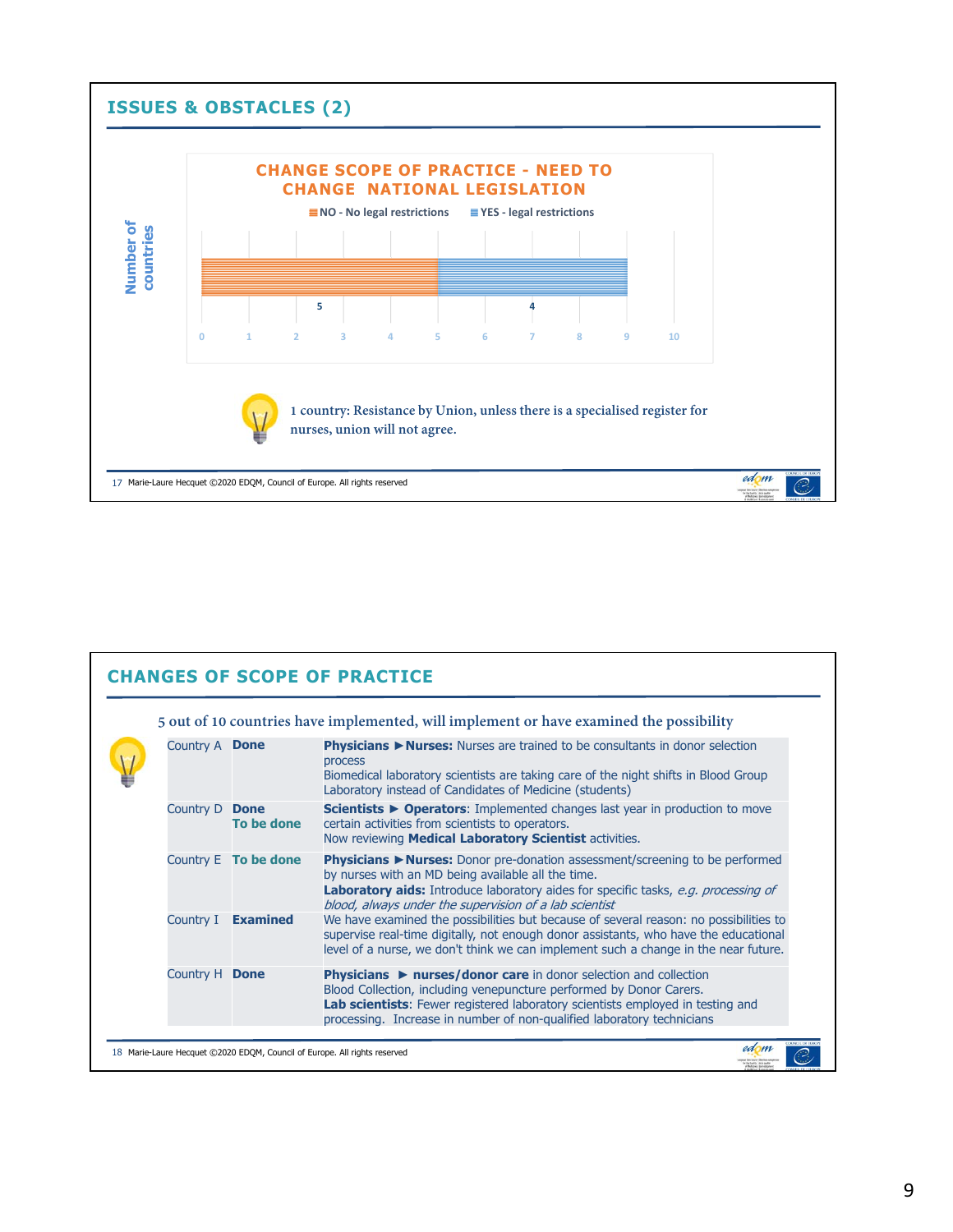

|                       |                             | 5 out of 10 countries have implemented, will implement or have examined the possibility                                                                                                                                                                                                                                              |
|-----------------------|-----------------------------|--------------------------------------------------------------------------------------------------------------------------------------------------------------------------------------------------------------------------------------------------------------------------------------------------------------------------------------|
| Country A <b>Done</b> |                             | Physicians ▶ Nurses: Nurses are trained to be consultants in donor selection<br>process<br>Biomedical laboratory scientists are taking care of the night shifts in Blood Group<br>Laboratory instead of Candidates of Medicine (students)                                                                                            |
| Country D             | <b>Done</b><br>To be done   | Scientists ► Operators: Implemented changes last year in production to move<br>certain activities from scientists to operators.<br>Now reviewing <b>Medical Laboratory Scientist</b> activities.                                                                                                                                     |
|                       | Country E <b>To be done</b> | <b>Physicians &gt; Nurses:</b> Donor pre-donation assessment/screening to be performed<br>by nurses with an MD being available all the time.<br><b>Laboratory aids:</b> Introduce laboratory aides for specific tasks, e.g. processing of<br>blood, always under the supervision of a lab scientist                                  |
| Country I             | <b>Examined</b>             | We have examined the possibilities but because of several reason: no possibilities to<br>supervise real-time digitally, not enough donor assistants, who have the educational<br>level of a nurse, we don't think we can implement such a change in the near future.                                                                 |
| Country H Done        |                             | <b>Physicians <math>\triangleright</math> nurses/donor care in donor selection and collection</b><br>Blood Collection, including venepuncture performed by Donor Carers.<br>Lab scientists: Fewer registered laboratory scientists employed in testing and<br>processing. Increase in number of non-qualified laboratory technicians |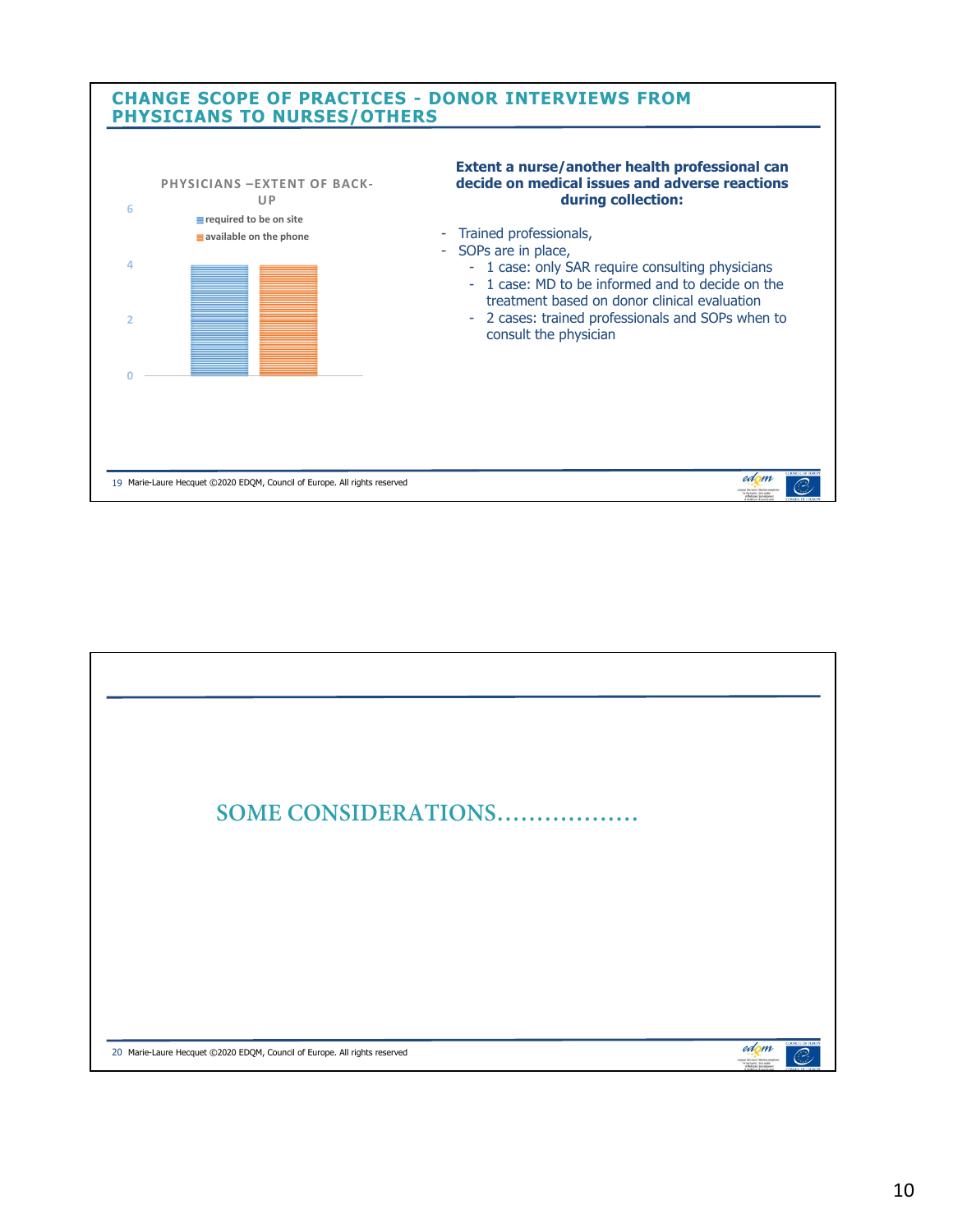

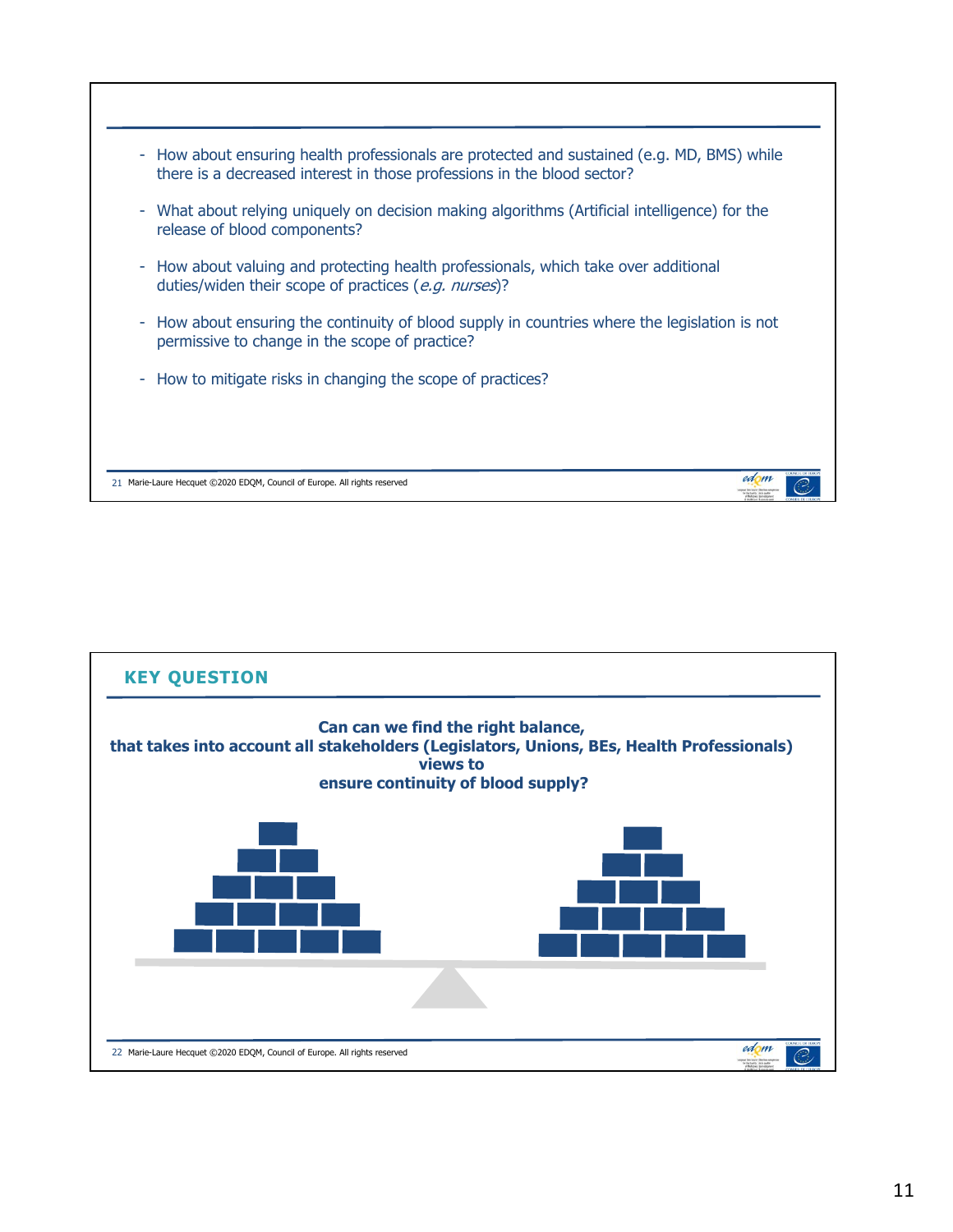